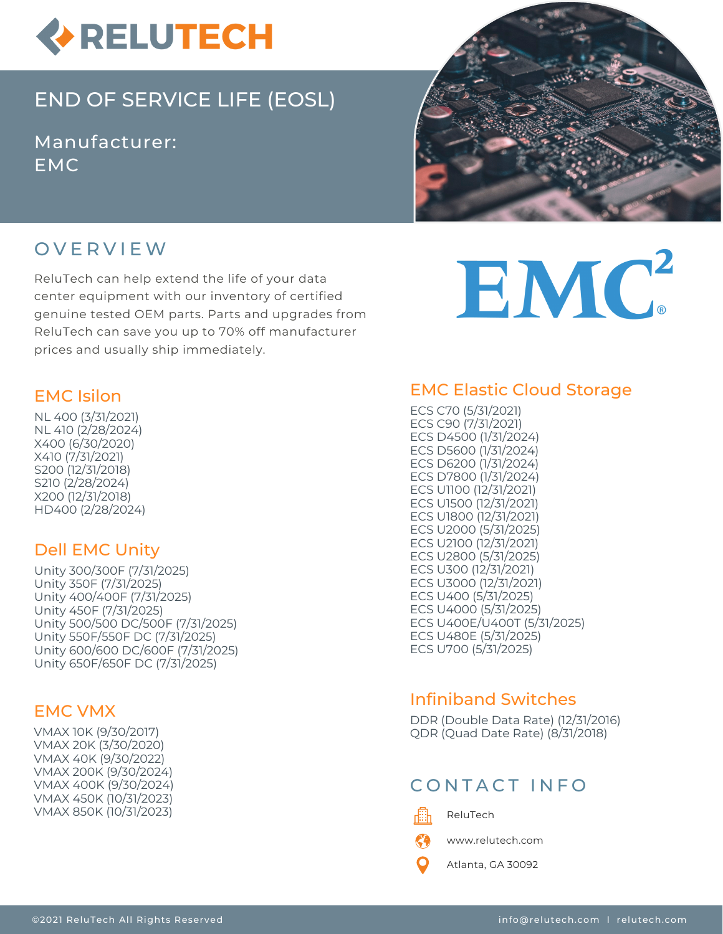

# END OF SERVICE LIFE (EOSL)

Manufacturer: EMC



# O V E R V I E W

ReluTech can help extend the life of your data center equipment with our inventory of certified genuine tested OEM parts. Parts and upgrades from ReluTech can save you up to 70% off manufacturer prices and usually ship immediately.

#### EMC Isilon

NL 400 (3/31/2021) NL 410 (2/28/2024) X400 (6/30/2020) X410 (7/31/2021) S200 (12/31/2018) S210 (2/28/2024) X200 (12/31/2018) HD400 (2/28/2024)

### Dell EMC Unity

Unity 300/300F (7/31/2025) Unity 350F (7/31/2025) Unity 400/400F (7/31/2025) Unity 450F (7/31/2025) Unity 500/500 DC/500F (7/31/2025) Unity 550F/550F DC (7/31/2025) Unity 600/600 DC/600F (7/31/2025) Unity 650F/650F DC (7/31/2025)

### EMC VMX

VMAX 10K (9/30/2017) VMAX 20K (3/30/2020) VMAX 40K (9/30/2022) VMAX 200K (9/30/2024) VMAX 400K (9/30/2024) VMAX 450K (10/31/2023) VMAX 850K (10/31/2023)

# EMC<sup>2</sup>

# EMC Elastic Cloud Storage

ECS C70 (5/31/2021) ECS C90 (7/31/2021) ECS D4500 (1/31/2024) ECS D5600 (1/31/2024) ECS D6200 (1/31/2024) ECS D7800 (1/31/2024) ECS U1100 (12/31/2021) ECS U1500 (12/31/2021) ECS U1800 (12/31/2021) ECS U2000 (5/31/2025) ECS U2100 (12/31/2021) ECS U2800 (5/31/2025) ECS U300 (12/31/2021) ECS U3000 (12/31/2021) ECS U400 (5/31/2025) ECS U4000 (5/31/2025) ECS U400E/U400T (5/31/2025) ECS U480E (5/31/2025) ECS U700 (5/31/2025)

# Infiniband Switches

DDR (Double Data Rate) (12/31/2016) QDR (Quad Date Rate) (8/31/2018)

# CONTACT INFO



ReluTech

K") www.relutech.com

Atlanta, GA 30092